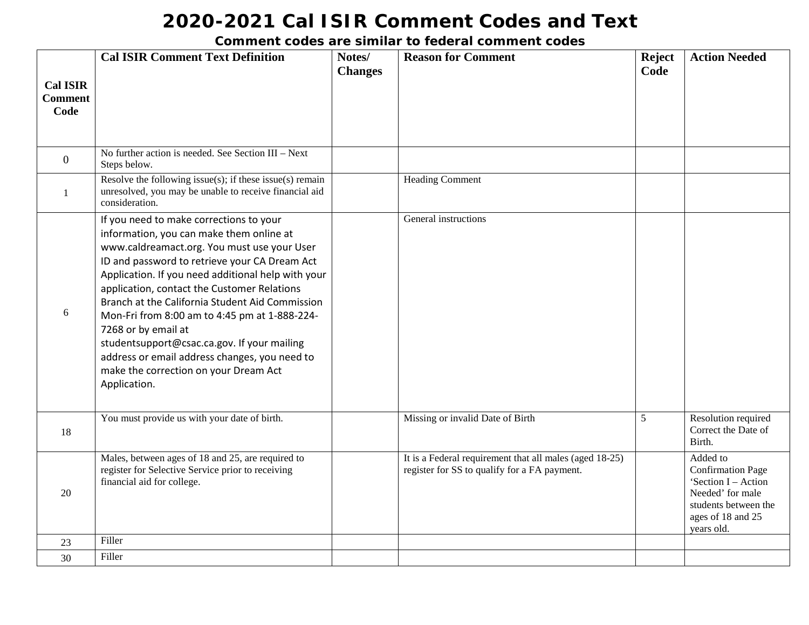|                                           | <b>Cal ISIR Comment Text Definition</b>                                                                                                                                                                                                                                                                                                                                                                                                                                                                                                                                      | Notes/         | <b>Reason for Comment</b>                                                                               | <b>Reject</b> | <b>Action Needed</b>                                                                                                                       |
|-------------------------------------------|------------------------------------------------------------------------------------------------------------------------------------------------------------------------------------------------------------------------------------------------------------------------------------------------------------------------------------------------------------------------------------------------------------------------------------------------------------------------------------------------------------------------------------------------------------------------------|----------------|---------------------------------------------------------------------------------------------------------|---------------|--------------------------------------------------------------------------------------------------------------------------------------------|
| <b>Cal ISIR</b><br><b>Comment</b><br>Code |                                                                                                                                                                                                                                                                                                                                                                                                                                                                                                                                                                              | <b>Changes</b> |                                                                                                         | Code          |                                                                                                                                            |
| $\overline{0}$                            | No further action is needed. See Section III - Next<br>Steps below.                                                                                                                                                                                                                                                                                                                                                                                                                                                                                                          |                |                                                                                                         |               |                                                                                                                                            |
| -1                                        | Resolve the following issue $(s)$ ; if these issue $(s)$ remain<br>unresolved, you may be unable to receive financial aid<br>consideration.                                                                                                                                                                                                                                                                                                                                                                                                                                  |                | <b>Heading Comment</b>                                                                                  |               |                                                                                                                                            |
| 6                                         | If you need to make corrections to your<br>information, you can make them online at<br>www.caldreamact.org. You must use your User<br>ID and password to retrieve your CA Dream Act<br>Application. If you need additional help with your<br>application, contact the Customer Relations<br>Branch at the California Student Aid Commission<br>Mon-Fri from 8:00 am to 4:45 pm at 1-888-224-<br>7268 or by email at<br>studentsupport@csac.ca.gov. If your mailing<br>address or email address changes, you need to<br>make the correction on your Dream Act<br>Application. |                | General instructions                                                                                    |               |                                                                                                                                            |
| 18                                        | You must provide us with your date of birth.                                                                                                                                                                                                                                                                                                                                                                                                                                                                                                                                 |                | Missing or invalid Date of Birth                                                                        | 5             | Resolution required<br>Correct the Date of<br>Birth.                                                                                       |
| 20                                        | Males, between ages of 18 and 25, are required to<br>register for Selective Service prior to receiving<br>financial aid for college.                                                                                                                                                                                                                                                                                                                                                                                                                                         |                | It is a Federal requirement that all males (aged 18-25)<br>register for SS to qualify for a FA payment. |               | Added to<br><b>Confirmation Page</b><br>'Section I - Action<br>Needed' for male<br>students between the<br>ages of 18 and 25<br>years old. |
| 23                                        | Filler                                                                                                                                                                                                                                                                                                                                                                                                                                                                                                                                                                       |                |                                                                                                         |               |                                                                                                                                            |
| 30                                        | Filler                                                                                                                                                                                                                                                                                                                                                                                                                                                                                                                                                                       |                |                                                                                                         |               |                                                                                                                                            |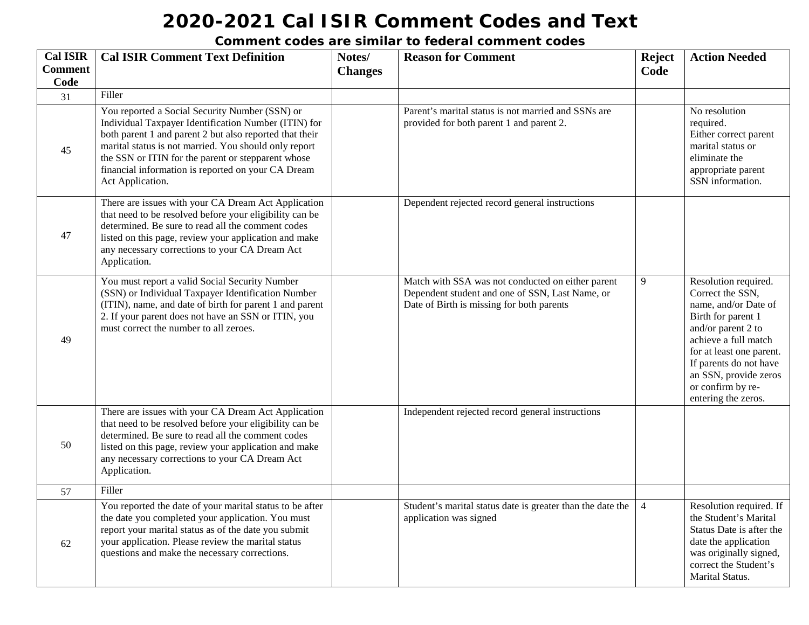| <b>Cal ISIR</b> | <b>Cal ISIR Comment Text Definition</b>                                                                                                                                                                                                                                                                                                                    | Notes/         | <b>Reason for Comment</b>                                                                                                                         | <b>Reject</b>  | <b>Action Needed</b>                                                                                                                                                                                                                                            |
|-----------------|------------------------------------------------------------------------------------------------------------------------------------------------------------------------------------------------------------------------------------------------------------------------------------------------------------------------------------------------------------|----------------|---------------------------------------------------------------------------------------------------------------------------------------------------|----------------|-----------------------------------------------------------------------------------------------------------------------------------------------------------------------------------------------------------------------------------------------------------------|
| <b>Comment</b>  |                                                                                                                                                                                                                                                                                                                                                            | <b>Changes</b> |                                                                                                                                                   | Code           |                                                                                                                                                                                                                                                                 |
| Code            | Filler                                                                                                                                                                                                                                                                                                                                                     |                |                                                                                                                                                   |                |                                                                                                                                                                                                                                                                 |
| 31              |                                                                                                                                                                                                                                                                                                                                                            |                |                                                                                                                                                   |                |                                                                                                                                                                                                                                                                 |
| 45              | You reported a Social Security Number (SSN) or<br>Individual Taxpayer Identification Number (ITIN) for<br>both parent 1 and parent 2 but also reported that their<br>marital status is not married. You should only report<br>the SSN or ITIN for the parent or stepparent whose<br>financial information is reported on your CA Dream<br>Act Application. |                | Parent's marital status is not married and SSNs are<br>provided for both parent 1 and parent 2.                                                   |                | No resolution<br>required.<br>Either correct parent<br>marital status or<br>eliminate the<br>appropriate parent<br>SSN information.                                                                                                                             |
| 47              | There are issues with your CA Dream Act Application<br>that need to be resolved before your eligibility can be<br>determined. Be sure to read all the comment codes<br>listed on this page, review your application and make<br>any necessary corrections to your CA Dream Act<br>Application.                                                             |                | Dependent rejected record general instructions                                                                                                    |                |                                                                                                                                                                                                                                                                 |
| 49              | You must report a valid Social Security Number<br>(SSN) or Individual Taxpayer Identification Number<br>(ITIN), name, and date of birth for parent 1 and parent<br>2. If your parent does not have an SSN or ITIN, you<br>must correct the number to all zeroes.                                                                                           |                | Match with SSA was not conducted on either parent<br>Dependent student and one of SSN, Last Name, or<br>Date of Birth is missing for both parents | 9              | Resolution required.<br>Correct the SSN,<br>name, and/or Date of<br>Birth for parent 1<br>and/or parent 2 to<br>achieve a full match<br>for at least one parent.<br>If parents do not have<br>an SSN, provide zeros<br>or confirm by re-<br>entering the zeros. |
| 50              | There are issues with your CA Dream Act Application<br>that need to be resolved before your eligibility can be<br>determined. Be sure to read all the comment codes<br>listed on this page, review your application and make<br>any necessary corrections to your CA Dream Act<br>Application.                                                             |                | Independent rejected record general instructions                                                                                                  |                |                                                                                                                                                                                                                                                                 |
| 57              | Filler                                                                                                                                                                                                                                                                                                                                                     |                |                                                                                                                                                   |                |                                                                                                                                                                                                                                                                 |
| 62              | You reported the date of your marital status to be after<br>the date you completed your application. You must<br>report your marital status as of the date you submit<br>your application. Please review the marital status<br>questions and make the necessary corrections.                                                                               |                | Student's marital status date is greater than the date the<br>application was signed                                                              | $\overline{4}$ | Resolution required. If<br>the Student's Marital<br>Status Date is after the<br>date the application<br>was originally signed,<br>correct the Student's<br>Marital Status.                                                                                      |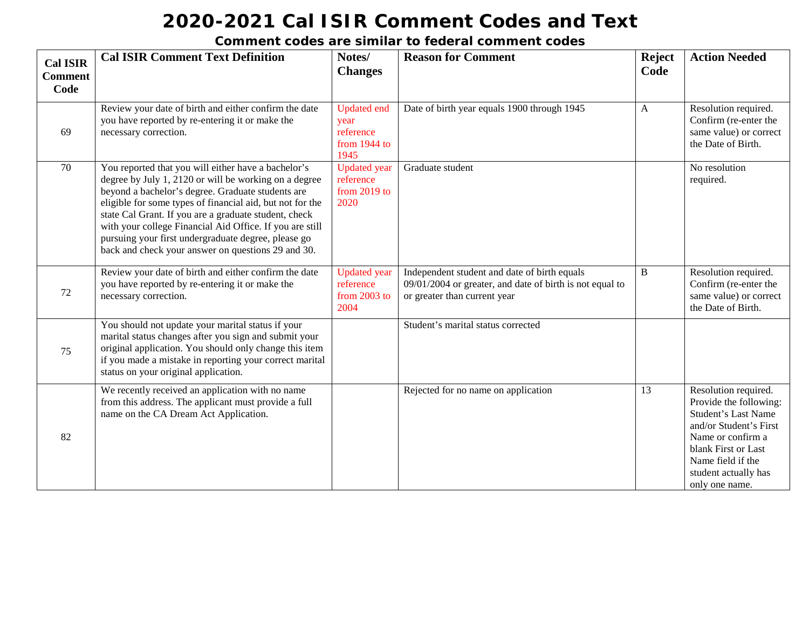| <b>Cal ISIR</b><br><b>Comment</b><br>Code | <b>Cal ISIR Comment Text Definition</b>                                                                                                                                                                                                                                                                                                                                                                                                                          | Notes/<br><b>Changes</b>                                        | <b>Reason for Comment</b>                                                                                                                | <b>Reject</b><br>Code | <b>Action Needed</b>                                                                                                                                                                                              |
|-------------------------------------------|------------------------------------------------------------------------------------------------------------------------------------------------------------------------------------------------------------------------------------------------------------------------------------------------------------------------------------------------------------------------------------------------------------------------------------------------------------------|-----------------------------------------------------------------|------------------------------------------------------------------------------------------------------------------------------------------|-----------------------|-------------------------------------------------------------------------------------------------------------------------------------------------------------------------------------------------------------------|
| 69                                        | Review your date of birth and either confirm the date<br>you have reported by re-entering it or make the<br>necessary correction.                                                                                                                                                                                                                                                                                                                                | <b>Updated end</b><br>year<br>reference<br>from 1944 to<br>1945 | Date of birth year equals 1900 through 1945                                                                                              | $\mathbf{A}$          | Resolution required.<br>Confirm (re-enter the<br>same value) or correct<br>the Date of Birth.                                                                                                                     |
| 70                                        | You reported that you will either have a bachelor's<br>degree by July 1, 2120 or will be working on a degree<br>beyond a bachelor's degree. Graduate students are<br>eligible for some types of financial aid, but not for the<br>state Cal Grant. If you are a graduate student, check<br>with your college Financial Aid Office. If you are still<br>pursuing your first undergraduate degree, please go<br>back and check your answer on questions 29 and 30. | <b>Updated</b> year<br>reference<br>from $2019$ to<br>2020      | Graduate student                                                                                                                         |                       | No resolution<br>required.                                                                                                                                                                                        |
| 72                                        | Review your date of birth and either confirm the date<br>you have reported by re-entering it or make the<br>necessary correction.                                                                                                                                                                                                                                                                                                                                | <b>Updated</b> year<br>reference<br>from $2003$ to<br>2004      | Independent student and date of birth equals<br>09/01/2004 or greater, and date of birth is not equal to<br>or greater than current year | $\mathbf{B}$          | Resolution required.<br>Confirm (re-enter the<br>same value) or correct<br>the Date of Birth.                                                                                                                     |
| 75                                        | You should not update your marital status if your<br>marital status changes after you sign and submit your<br>original application. You should only change this item<br>if you made a mistake in reporting your correct marital<br>status on your original application.                                                                                                                                                                                          |                                                                 | Student's marital status corrected                                                                                                       |                       |                                                                                                                                                                                                                   |
| 82                                        | We recently received an application with no name<br>from this address. The applicant must provide a full<br>name on the CA Dream Act Application.                                                                                                                                                                                                                                                                                                                |                                                                 | Rejected for no name on application                                                                                                      | 13                    | Resolution required.<br>Provide the following:<br><b>Student's Last Name</b><br>and/or Student's First<br>Name or confirm a<br>blank First or Last<br>Name field if the<br>student actually has<br>only one name. |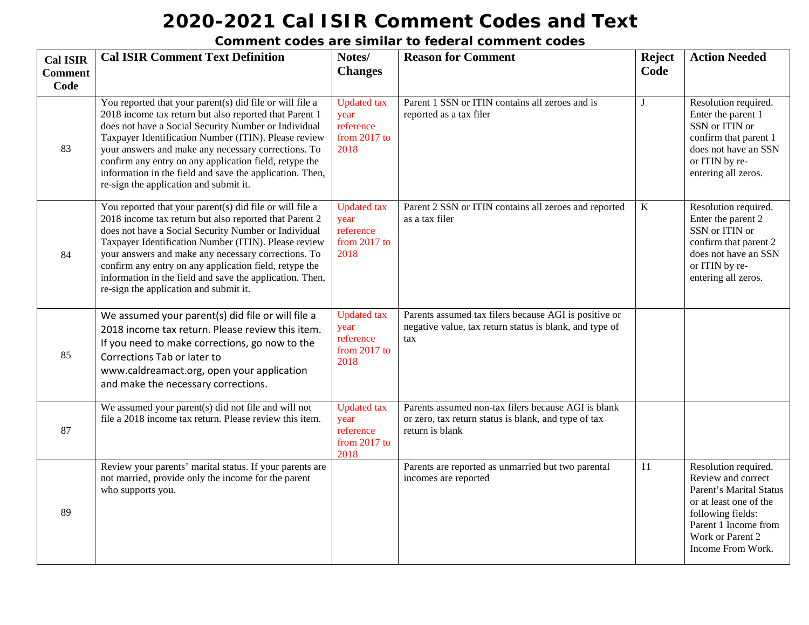| <b>Cal ISIR</b><br><b>Comment</b><br>Code | <b>Cal ISIR Comment Text Definition</b>                                                                                                                                                                                                                                                                                                                                                                                                                   | Notes/<br><b>Changes</b>                                          | <b>Reason for Comment</b>                                                                                                      | <b>Reject</b><br>Code | <b>Action Needed</b>                                                                                                                                                                  |
|-------------------------------------------|-----------------------------------------------------------------------------------------------------------------------------------------------------------------------------------------------------------------------------------------------------------------------------------------------------------------------------------------------------------------------------------------------------------------------------------------------------------|-------------------------------------------------------------------|--------------------------------------------------------------------------------------------------------------------------------|-----------------------|---------------------------------------------------------------------------------------------------------------------------------------------------------------------------------------|
| 83                                        | You reported that your parent(s) did file or will file a<br>2018 income tax return but also reported that Parent 1<br>does not have a Social Security Number or Individual<br>Taxpayer Identification Number (ITIN). Please review<br>your answers and make any necessary corrections. To<br>confirm any entry on any application field, retype the<br>information in the field and save the application. Then,<br>re-sign the application and submit it. | <b>Updated</b> tax<br>year<br>reference<br>from $2017$ to<br>2018 | Parent 1 SSN or ITIN contains all zeroes and is<br>reported as a tax filer                                                     | J                     | Resolution required.<br>Enter the parent 1<br>SSN or ITIN or<br>confirm that parent 1<br>does not have an SSN<br>or ITIN by re-<br>entering all zeros.                                |
| 84                                        | You reported that your parent(s) did file or will file a<br>2018 income tax return but also reported that Parent 2<br>does not have a Social Security Number or Individual<br>Taxpayer Identification Number (ITIN). Please review<br>your answers and make any necessary corrections. To<br>confirm any entry on any application field, retype the<br>information in the field and save the application. Then,<br>re-sign the application and submit it. | <b>Updated</b> tax<br>year<br>reference<br>from $2017$ to<br>2018 | Parent 2 SSN or ITIN contains all zeroes and reported<br>as a tax filer                                                        | $\mathbf K$           | Resolution required.<br>Enter the parent 2<br>SSN or ITIN or<br>confirm that parent 2<br>does not have an SSN<br>or ITIN by re-<br>entering all zeros.                                |
| 85                                        | We assumed your parent(s) did file or will file a<br>2018 income tax return. Please review this item.<br>If you need to make corrections, go now to the<br>Corrections Tab or later to<br>www.caldreamact.org, open your application<br>and make the necessary corrections.                                                                                                                                                                               | <b>Updated</b> tax<br>year<br>reference<br>from $2017$ to<br>2018 | Parents assumed tax filers because AGI is positive or<br>negative value, tax return status is blank, and type of<br>tax        |                       |                                                                                                                                                                                       |
| 87                                        | We assumed your parent(s) did not file and will not<br>file a 2018 income tax return. Please review this item.                                                                                                                                                                                                                                                                                                                                            | <b>Updated</b> tax<br>year<br>reference<br>from $2017$ to<br>2018 | Parents assumed non-tax filers because AGI is blank<br>or zero, tax return status is blank, and type of tax<br>return is blank |                       |                                                                                                                                                                                       |
| 89                                        | Review your parents' marital status. If your parents are<br>not married, provide only the income for the parent<br>who supports you.                                                                                                                                                                                                                                                                                                                      |                                                                   | Parents are reported as unmarried but two parental<br>incomes are reported                                                     | 11                    | Resolution required.<br>Review and correct<br>Parent's Marital Status<br>or at least one of the<br>following fields:<br>Parent 1 Income from<br>Work or Parent 2<br>Income From Work. |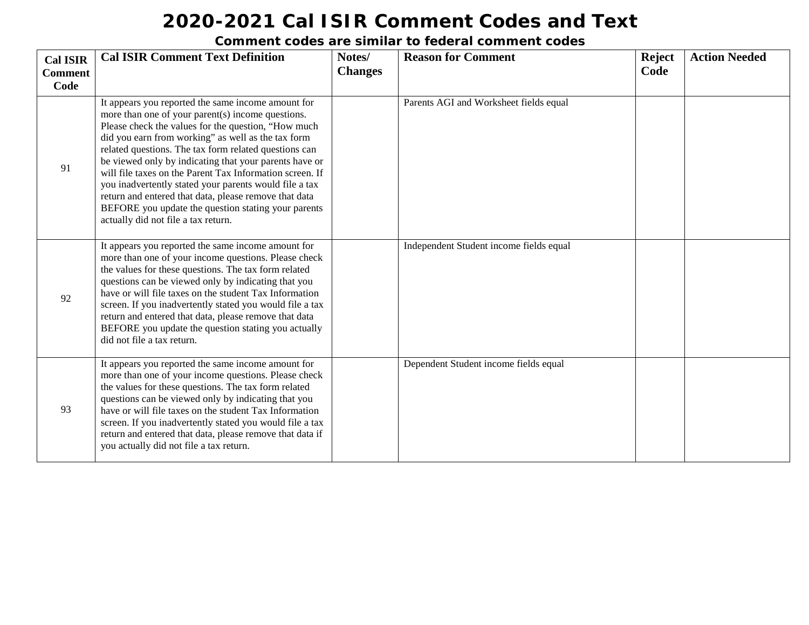| <b>Cal ISIR</b><br><b>Comment</b><br>Code | <b>Cal ISIR Comment Text Definition</b>                                                                                                                                                                                                                                                                                                                                                                                                                                                                                                                                                                              | Notes/<br><b>Changes</b> | <b>Reason for Comment</b>               | <b>Reject</b><br>Code | <b>Action Needed</b> |
|-------------------------------------------|----------------------------------------------------------------------------------------------------------------------------------------------------------------------------------------------------------------------------------------------------------------------------------------------------------------------------------------------------------------------------------------------------------------------------------------------------------------------------------------------------------------------------------------------------------------------------------------------------------------------|--------------------------|-----------------------------------------|-----------------------|----------------------|
| 91                                        | It appears you reported the same income amount for<br>more than one of your parent(s) income questions.<br>Please check the values for the question, "How much<br>did you earn from working" as well as the tax form<br>related questions. The tax form related questions can<br>be viewed only by indicating that your parents have or<br>will file taxes on the Parent Tax Information screen. If<br>you inadvertently stated your parents would file a tax<br>return and entered that data, please remove that data<br>BEFORE you update the question stating your parents<br>actually did not file a tax return. |                          | Parents AGI and Worksheet fields equal  |                       |                      |
| 92                                        | It appears you reported the same income amount for<br>more than one of your income questions. Please check<br>the values for these questions. The tax form related<br>questions can be viewed only by indicating that you<br>have or will file taxes on the student Tax Information<br>screen. If you inadvertently stated you would file a tax<br>return and entered that data, please remove that data<br>BEFORE you update the question stating you actually<br>did not file a tax return.                                                                                                                        |                          | Independent Student income fields equal |                       |                      |
| 93                                        | It appears you reported the same income amount for<br>more than one of your income questions. Please check<br>the values for these questions. The tax form related<br>questions can be viewed only by indicating that you<br>have or will file taxes on the student Tax Information<br>screen. If you inadvertently stated you would file a tax<br>return and entered that data, please remove that data if<br>you actually did not file a tax return.                                                                                                                                                               |                          | Dependent Student income fields equal   |                       |                      |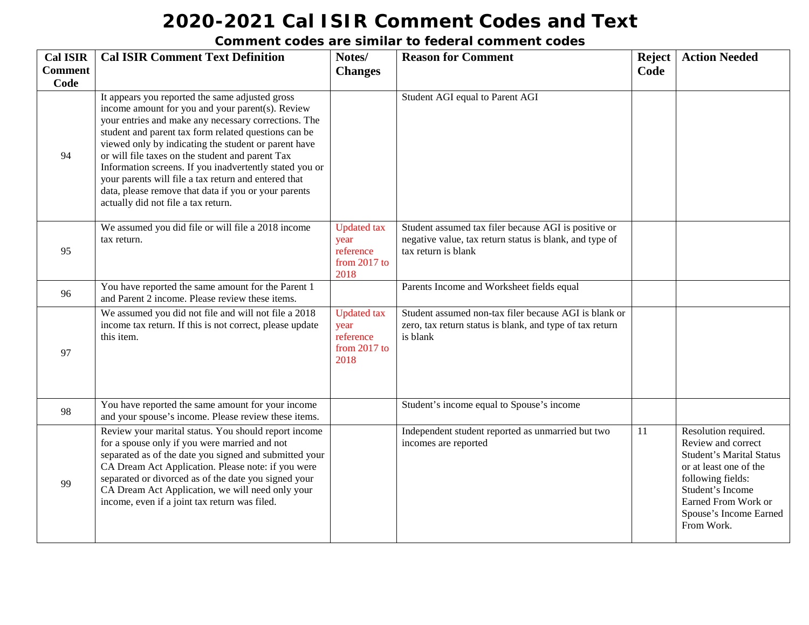| <b>Cal ISIR</b><br><b>Comment</b><br>Code | <b>Cal ISIR Comment Text Definition</b>                                                                                                                                                                                                                                                                                                                                                                                                                                                                                                           | Notes/<br><b>Changes</b>                                        | <b>Reason for Comment</b>                                                                                                              | <b>Reject</b><br>Code | <b>Action Needed</b>                                                                                                                                                                                            |
|-------------------------------------------|---------------------------------------------------------------------------------------------------------------------------------------------------------------------------------------------------------------------------------------------------------------------------------------------------------------------------------------------------------------------------------------------------------------------------------------------------------------------------------------------------------------------------------------------------|-----------------------------------------------------------------|----------------------------------------------------------------------------------------------------------------------------------------|-----------------------|-----------------------------------------------------------------------------------------------------------------------------------------------------------------------------------------------------------------|
| 94                                        | It appears you reported the same adjusted gross<br>income amount for you and your parent(s). Review<br>your entries and make any necessary corrections. The<br>student and parent tax form related questions can be<br>viewed only by indicating the student or parent have<br>or will file taxes on the student and parent Tax<br>Information screens. If you inadvertently stated you or<br>your parents will file a tax return and entered that<br>data, please remove that data if you or your parents<br>actually did not file a tax return. |                                                                 | Student AGI equal to Parent AGI                                                                                                        |                       |                                                                                                                                                                                                                 |
| 95                                        | We assumed you did file or will file a 2018 income<br>tax return.                                                                                                                                                                                                                                                                                                                                                                                                                                                                                 | <b>Updated</b> tax<br>year<br>reference<br>from 2017 to<br>2018 | Student assumed tax filer because AGI is positive or<br>negative value, tax return status is blank, and type of<br>tax return is blank |                       |                                                                                                                                                                                                                 |
| 96                                        | You have reported the same amount for the Parent 1<br>and Parent 2 income. Please review these items.                                                                                                                                                                                                                                                                                                                                                                                                                                             |                                                                 | Parents Income and Worksheet fields equal                                                                                              |                       |                                                                                                                                                                                                                 |
| 97                                        | We assumed you did not file and will not file a 2018<br>income tax return. If this is not correct, please update<br>this item.                                                                                                                                                                                                                                                                                                                                                                                                                    | <b>Updated</b> tax<br>year<br>reference<br>from 2017 to<br>2018 | Student assumed non-tax filer because AGI is blank or<br>zero, tax return status is blank, and type of tax return<br>is blank          |                       |                                                                                                                                                                                                                 |
| 98                                        | You have reported the same amount for your income<br>and your spouse's income. Please review these items.                                                                                                                                                                                                                                                                                                                                                                                                                                         |                                                                 | Student's income equal to Spouse's income                                                                                              |                       |                                                                                                                                                                                                                 |
| 99                                        | Review your marital status. You should report income<br>for a spouse only if you were married and not<br>separated as of the date you signed and submitted your<br>CA Dream Act Application. Please note: if you were<br>separated or divorced as of the date you signed your<br>CA Dream Act Application, we will need only your<br>income, even if a joint tax return was filed.                                                                                                                                                                |                                                                 | Independent student reported as unmarried but two<br>incomes are reported                                                              | 11                    | Resolution required.<br>Review and correct<br><b>Student's Marital Status</b><br>or at least one of the<br>following fields:<br>Student's Income<br>Earned From Work or<br>Spouse's Income Earned<br>From Work. |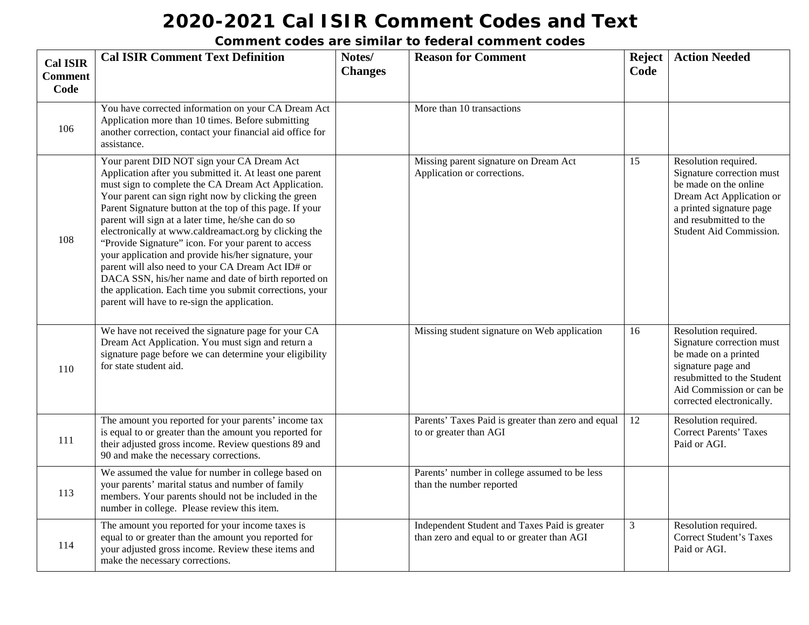| <b>Cal ISIR</b><br><b>Comment</b><br>Code | <b>Cal ISIR Comment Text Definition</b>                                                                                                                                                                                                                                                                                                                                                                                                                                                                                                                                                                                                                                                                                                | Notes/<br><b>Changes</b> | <b>Reason for Comment</b>                                                                   | <b>Reject</b><br>Code | <b>Action Needed</b>                                                                                                                                                                    |
|-------------------------------------------|----------------------------------------------------------------------------------------------------------------------------------------------------------------------------------------------------------------------------------------------------------------------------------------------------------------------------------------------------------------------------------------------------------------------------------------------------------------------------------------------------------------------------------------------------------------------------------------------------------------------------------------------------------------------------------------------------------------------------------------|--------------------------|---------------------------------------------------------------------------------------------|-----------------------|-----------------------------------------------------------------------------------------------------------------------------------------------------------------------------------------|
| 106                                       | You have corrected information on your CA Dream Act<br>Application more than 10 times. Before submitting<br>another correction, contact your financial aid office for<br>assistance.                                                                                                                                                                                                                                                                                                                                                                                                                                                                                                                                                   |                          | More than 10 transactions                                                                   |                       |                                                                                                                                                                                         |
| 108                                       | Your parent DID NOT sign your CA Dream Act<br>Application after you submitted it. At least one parent<br>must sign to complete the CA Dream Act Application.<br>Your parent can sign right now by clicking the green<br>Parent Signature button at the top of this page. If your<br>parent will sign at a later time, he/she can do so<br>electronically at www.caldreamact.org by clicking the<br>"Provide Signature" icon. For your parent to access<br>your application and provide his/her signature, your<br>parent will also need to your CA Dream Act ID# or<br>DACA SSN, his/her name and date of birth reported on<br>the application. Each time you submit corrections, your<br>parent will have to re-sign the application. |                          | Missing parent signature on Dream Act<br>Application or corrections.                        | 15                    | Resolution required.<br>Signature correction must<br>be made on the online<br>Dream Act Application or<br>a printed signature page<br>and resubmitted to the<br>Student Aid Commission. |
| 110                                       | We have not received the signature page for your CA<br>Dream Act Application. You must sign and return a<br>signature page before we can determine your eligibility<br>for state student aid.                                                                                                                                                                                                                                                                                                                                                                                                                                                                                                                                          |                          | Missing student signature on Web application                                                | 16                    | Resolution required.<br>Signature correction must<br>be made on a printed<br>signature page and<br>resubmitted to the Student<br>Aid Commission or can be<br>corrected electronically.  |
| 111                                       | The amount you reported for your parents' income tax<br>is equal to or greater than the amount you reported for<br>their adjusted gross income. Review questions 89 and<br>90 and make the necessary corrections.                                                                                                                                                                                                                                                                                                                                                                                                                                                                                                                      |                          | Parents' Taxes Paid is greater than zero and equal<br>to or greater than AGI                | 12                    | Resolution required.<br><b>Correct Parents' Taxes</b><br>Paid or AGI.                                                                                                                   |
| 113                                       | We assumed the value for number in college based on<br>your parents' marital status and number of family<br>members. Your parents should not be included in the<br>number in college. Please review this item.                                                                                                                                                                                                                                                                                                                                                                                                                                                                                                                         |                          | Parents' number in college assumed to be less<br>than the number reported                   |                       |                                                                                                                                                                                         |
| 114                                       | The amount you reported for your income taxes is<br>equal to or greater than the amount you reported for<br>your adjusted gross income. Review these items and<br>make the necessary corrections.                                                                                                                                                                                                                                                                                                                                                                                                                                                                                                                                      |                          | Independent Student and Taxes Paid is greater<br>than zero and equal to or greater than AGI | $\mathfrak{Z}$        | Resolution required.<br><b>Correct Student's Taxes</b><br>Paid or AGI.                                                                                                                  |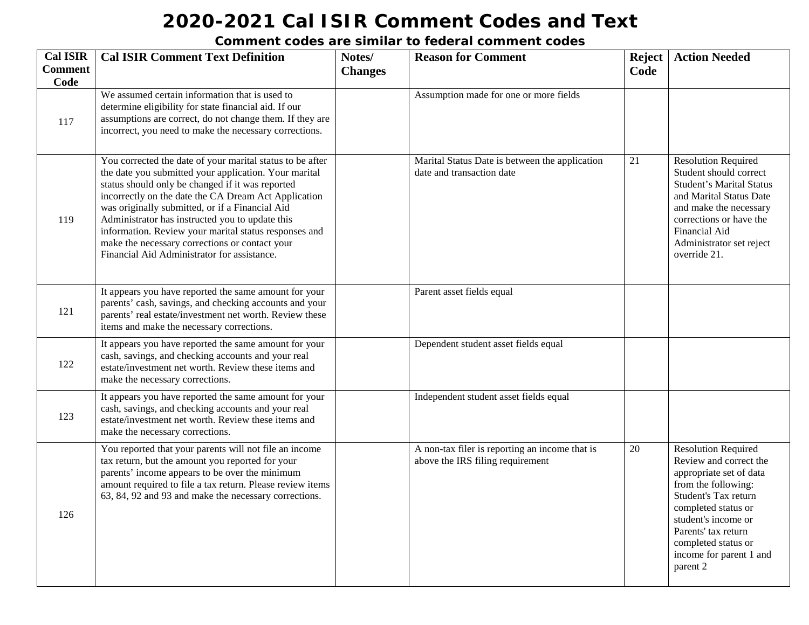| <b>Cal ISIR</b>        | <b>Cal ISIR Comment Text Definition</b>                                                                                                                                                                                                                                                                                                                                                                                                                                                        | Notes/         | <b>Reason for Comment</b>                                                          | <b>Reject</b> | <b>Action Needed</b>                                                                                                                                                                                                                                              |
|------------------------|------------------------------------------------------------------------------------------------------------------------------------------------------------------------------------------------------------------------------------------------------------------------------------------------------------------------------------------------------------------------------------------------------------------------------------------------------------------------------------------------|----------------|------------------------------------------------------------------------------------|---------------|-------------------------------------------------------------------------------------------------------------------------------------------------------------------------------------------------------------------------------------------------------------------|
| <b>Comment</b><br>Code |                                                                                                                                                                                                                                                                                                                                                                                                                                                                                                | <b>Changes</b> |                                                                                    | Code          |                                                                                                                                                                                                                                                                   |
| 117                    | We assumed certain information that is used to<br>determine eligibility for state financial aid. If our<br>assumptions are correct, do not change them. If they are<br>incorrect, you need to make the necessary corrections.                                                                                                                                                                                                                                                                  |                | Assumption made for one or more fields                                             |               |                                                                                                                                                                                                                                                                   |
| 119                    | You corrected the date of your marital status to be after<br>the date you submitted your application. Your marital<br>status should only be changed if it was reported<br>incorrectly on the date the CA Dream Act Application<br>was originally submitted, or if a Financial Aid<br>Administrator has instructed you to update this<br>information. Review your marital status responses and<br>make the necessary corrections or contact your<br>Financial Aid Administrator for assistance. |                | Marital Status Date is between the application<br>date and transaction date        | 21            | <b>Resolution Required</b><br>Student should correct<br><b>Student's Marital Status</b><br>and Marital Status Date<br>and make the necessary<br>corrections or have the<br>Financial Aid<br>Administrator set reject<br>override 21.                              |
| 121                    | It appears you have reported the same amount for your<br>parents' cash, savings, and checking accounts and your<br>parents' real estate/investment net worth. Review these<br>items and make the necessary corrections.                                                                                                                                                                                                                                                                        |                | Parent asset fields equal                                                          |               |                                                                                                                                                                                                                                                                   |
| 122                    | It appears you have reported the same amount for your<br>cash, savings, and checking accounts and your real<br>estate/investment net worth. Review these items and<br>make the necessary corrections.                                                                                                                                                                                                                                                                                          |                | Dependent student asset fields equal                                               |               |                                                                                                                                                                                                                                                                   |
| 123                    | It appears you have reported the same amount for your<br>cash, savings, and checking accounts and your real<br>estate/investment net worth. Review these items and<br>make the necessary corrections.                                                                                                                                                                                                                                                                                          |                | Independent student asset fields equal                                             |               |                                                                                                                                                                                                                                                                   |
| 126                    | You reported that your parents will not file an income<br>tax return, but the amount you reported for your<br>parents' income appears to be over the minimum<br>amount required to file a tax return. Please review items<br>63, 84, 92 and 93 and make the necessary corrections.                                                                                                                                                                                                             |                | A non-tax filer is reporting an income that is<br>above the IRS filing requirement | 20            | <b>Resolution Required</b><br>Review and correct the<br>appropriate set of data<br>from the following:<br>Student's Tax return<br>completed status or<br>student's income or<br>Parents' tax return<br>completed status or<br>income for parent 1 and<br>parent 2 |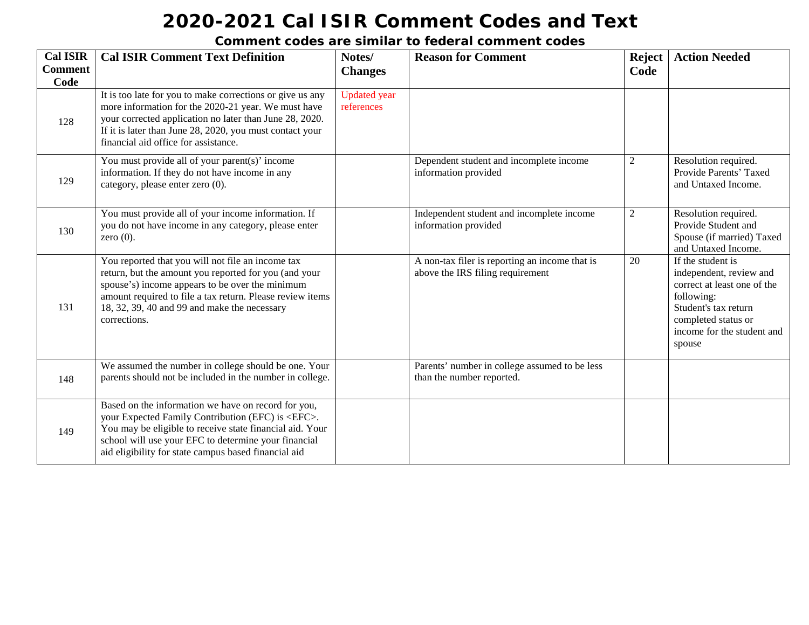| <b>Cal ISIR</b><br><b>Comment</b> | <b>Cal ISIR Comment Text Definition</b>                                                                                                                                                                                                                                                       | Notes/<br><b>Changes</b>          | <b>Reason for Comment</b>                                                          | <b>Reject</b><br>Code | <b>Action Needed</b>                                                                                                                                                             |
|-----------------------------------|-----------------------------------------------------------------------------------------------------------------------------------------------------------------------------------------------------------------------------------------------------------------------------------------------|-----------------------------------|------------------------------------------------------------------------------------|-----------------------|----------------------------------------------------------------------------------------------------------------------------------------------------------------------------------|
| Code<br>128                       | It is too late for you to make corrections or give us any<br>more information for the 2020-21 year. We must have<br>your corrected application no later than June 28, 2020.<br>If it is later than June 28, 2020, you must contact your<br>financial aid office for assistance.               | <b>Updated</b> year<br>references |                                                                                    |                       |                                                                                                                                                                                  |
| 129                               | You must provide all of your parent(s)' income<br>information. If they do not have income in any<br>category, please enter zero (0).                                                                                                                                                          |                                   | Dependent student and incomplete income<br>information provided                    | $\overline{2}$        | Resolution required.<br>Provide Parents' Taxed<br>and Untaxed Income.                                                                                                            |
| 130                               | You must provide all of your income information. If<br>you do not have income in any category, please enter<br>zero $(0)$ .                                                                                                                                                                   |                                   | Independent student and incomplete income<br>information provided                  | $\overline{2}$        | Resolution required.<br>Provide Student and<br>Spouse (if married) Taxed<br>and Untaxed Income.                                                                                  |
| 131                               | You reported that you will not file an income tax<br>return, but the amount you reported for you (and your<br>spouse's) income appears to be over the minimum<br>amount required to file a tax return. Please review items<br>18, 32, 39, 40 and 99 and make the necessary<br>corrections.    |                                   | A non-tax filer is reporting an income that is<br>above the IRS filing requirement | 20                    | If the student is<br>independent, review and<br>correct at least one of the<br>following:<br>Student's tax return<br>completed status or<br>income for the student and<br>spouse |
| 148                               | We assumed the number in college should be one. Your<br>parents should not be included in the number in college.                                                                                                                                                                              |                                   | Parents' number in college assumed to be less<br>than the number reported.         |                       |                                                                                                                                                                                  |
| 149                               | Based on the information we have on record for you,<br>your Expected Family Contribution (EFC) is <efc>.<br/>You may be eligible to receive state financial aid. Your<br/>school will use your EFC to determine your financial<br/>aid eligibility for state campus based financial aid</efc> |                                   |                                                                                    |                       |                                                                                                                                                                                  |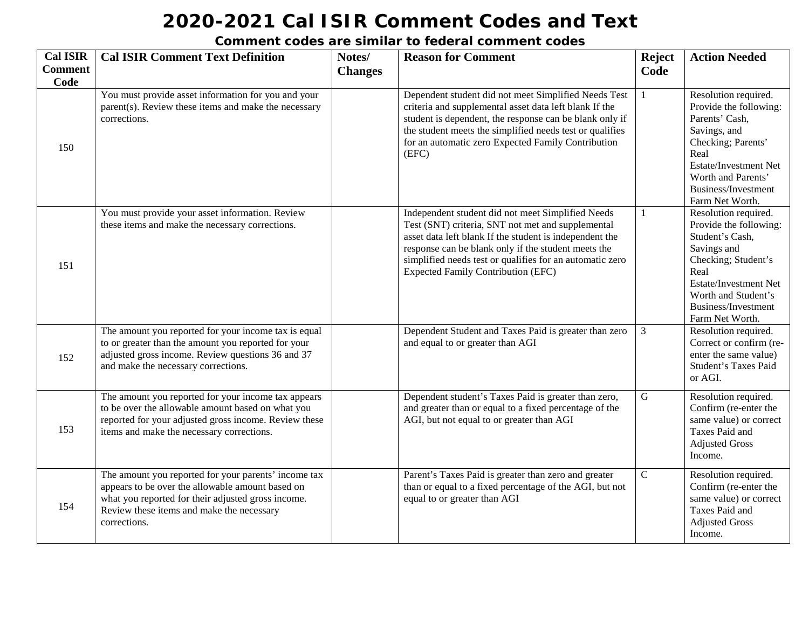| <b>Cal ISIR</b> | <b>Cal ISIR Comment Text Definition</b>                                                                                                                                                                                     | Notes/         | <b>Reason for Comment</b>                                                                                                                                                                                                                                                                                                         | <b>Reject</b> | <b>Action Needed</b>                                                                                                                                                                                             |
|-----------------|-----------------------------------------------------------------------------------------------------------------------------------------------------------------------------------------------------------------------------|----------------|-----------------------------------------------------------------------------------------------------------------------------------------------------------------------------------------------------------------------------------------------------------------------------------------------------------------------------------|---------------|------------------------------------------------------------------------------------------------------------------------------------------------------------------------------------------------------------------|
| <b>Comment</b>  |                                                                                                                                                                                                                             | <b>Changes</b> |                                                                                                                                                                                                                                                                                                                                   | Code          |                                                                                                                                                                                                                  |
| Code<br>150     | You must provide asset information for you and your<br>parent(s). Review these items and make the necessary<br>corrections.                                                                                                 |                | Dependent student did not meet Simplified Needs Test<br>criteria and supplemental asset data left blank If the<br>student is dependent, the response can be blank only if<br>the student meets the simplified needs test or qualifies<br>for an automatic zero Expected Family Contribution<br>(EFC)                              | $\mathbf{1}$  | Resolution required.<br>Provide the following:<br>Parents' Cash,<br>Savings, and<br>Checking; Parents'<br>Real<br>Estate/Investment Net<br>Worth and Parents'<br>Business/Investment<br>Farm Net Worth.          |
| 151             | You must provide your asset information. Review<br>these items and make the necessary corrections.                                                                                                                          |                | Independent student did not meet Simplified Needs<br>Test (SNT) criteria, SNT not met and supplemental<br>asset data left blank If the student is independent the<br>response can be blank only if the student meets the<br>simplified needs test or qualifies for an automatic zero<br><b>Expected Family Contribution (EFC)</b> | $\mathbf{1}$  | Resolution required.<br>Provide the following:<br>Student's Cash,<br>Savings and<br>Checking; Student's<br>Real<br><b>Estate/Investment Net</b><br>Worth and Student's<br>Business/Investment<br>Farm Net Worth. |
| 152             | The amount you reported for your income tax is equal<br>to or greater than the amount you reported for your<br>adjusted gross income. Review questions 36 and 37<br>and make the necessary corrections.                     |                | Dependent Student and Taxes Paid is greater than zero<br>and equal to or greater than AGI                                                                                                                                                                                                                                         | 3             | Resolution required.<br>Correct or confirm (re-<br>enter the same value)<br><b>Student's Taxes Paid</b><br>or AGI.                                                                                               |
| 153             | The amount you reported for your income tax appears<br>to be over the allowable amount based on what you<br>reported for your adjusted gross income. Review these<br>items and make the necessary corrections.              |                | Dependent student's Taxes Paid is greater than zero,<br>and greater than or equal to a fixed percentage of the<br>AGI, but not equal to or greater than AGI                                                                                                                                                                       | $\mathbf G$   | Resolution required.<br>Confirm (re-enter the<br>same value) or correct<br>Taxes Paid and<br><b>Adjusted Gross</b><br>Income.                                                                                    |
| 154             | The amount you reported for your parents' income tax<br>appears to be over the allowable amount based on<br>what you reported for their adjusted gross income.<br>Review these items and make the necessary<br>corrections. |                | Parent's Taxes Paid is greater than zero and greater<br>than or equal to a fixed percentage of the AGI, but not<br>equal to or greater than AGI                                                                                                                                                                                   | $\mathbf C$   | Resolution required.<br>Confirm (re-enter the<br>same value) or correct<br>Taxes Paid and<br><b>Adjusted Gross</b><br>Income.                                                                                    |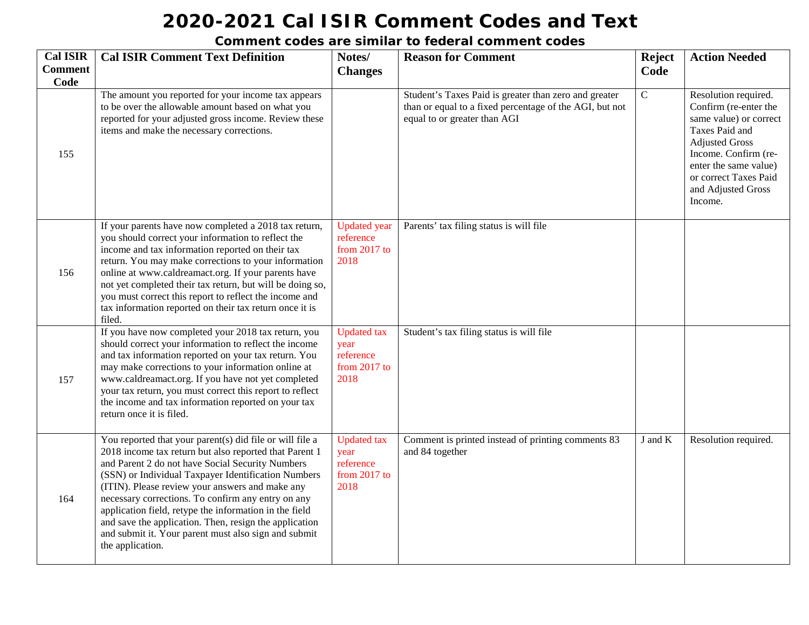| <b>Cal ISIR</b>        | <b>Cal ISIR Comment Text Definition</b>                                                                                                                                                                                                                                                                                                                                                                                                                                                                                                | Notes/                                                            | <b>Reason for Comment</b>                                                                                                                        | <b>Reject</b> | <b>Action Needed</b>                                                                                                                                                                                                          |
|------------------------|----------------------------------------------------------------------------------------------------------------------------------------------------------------------------------------------------------------------------------------------------------------------------------------------------------------------------------------------------------------------------------------------------------------------------------------------------------------------------------------------------------------------------------------|-------------------------------------------------------------------|--------------------------------------------------------------------------------------------------------------------------------------------------|---------------|-------------------------------------------------------------------------------------------------------------------------------------------------------------------------------------------------------------------------------|
| <b>Comment</b><br>Code |                                                                                                                                                                                                                                                                                                                                                                                                                                                                                                                                        | <b>Changes</b>                                                    |                                                                                                                                                  | Code          |                                                                                                                                                                                                                               |
| 155                    | The amount you reported for your income tax appears<br>to be over the allowable amount based on what you<br>reported for your adjusted gross income. Review these<br>items and make the necessary corrections.                                                                                                                                                                                                                                                                                                                         |                                                                   | Student's Taxes Paid is greater than zero and greater<br>than or equal to a fixed percentage of the AGI, but not<br>equal to or greater than AGI | $\mathcal{C}$ | Resolution required.<br>Confirm (re-enter the<br>same value) or correct<br>Taxes Paid and<br><b>Adjusted Gross</b><br>Income. Confirm (re-<br>enter the same value)<br>or correct Taxes Paid<br>and Adjusted Gross<br>Income. |
| 156                    | If your parents have now completed a 2018 tax return,<br>you should correct your information to reflect the<br>income and tax information reported on their tax<br>return. You may make corrections to your information<br>online at www.caldreamact.org. If your parents have<br>not yet completed their tax return, but will be doing so,<br>you must correct this report to reflect the income and<br>tax information reported on their tax return once it is<br>filed.                                                             | <b>Updated</b> year<br>reference<br>from 2017 to<br>2018          | Parents' tax filing status is will file                                                                                                          |               |                                                                                                                                                                                                                               |
| 157                    | If you have now completed your 2018 tax return, you<br>should correct your information to reflect the income<br>and tax information reported on your tax return. You<br>may make corrections to your information online at<br>www.caldreamact.org. If you have not yet completed<br>your tax return, you must correct this report to reflect<br>the income and tax information reported on your tax<br>return once it is filed.                                                                                                        | <b>Updated</b> tax<br>year<br>reference<br>from 2017 to<br>2018   | Student's tax filing status is will file                                                                                                         |               |                                                                                                                                                                                                                               |
| 164                    | You reported that your parent(s) did file or will file a<br>2018 income tax return but also reported that Parent 1<br>and Parent 2 do not have Social Security Numbers<br>(SSN) or Individual Taxpayer Identification Numbers<br>(ITIN). Please review your answers and make any<br>necessary corrections. To confirm any entry on any<br>application field, retype the information in the field<br>and save the application. Then, resign the application<br>and submit it. Your parent must also sign and submit<br>the application. | <b>Updated</b> tax<br>year<br>reference<br>from $2017$ to<br>2018 | Comment is printed instead of printing comments 83<br>and 84 together                                                                            | J and K       | Resolution required.                                                                                                                                                                                                          |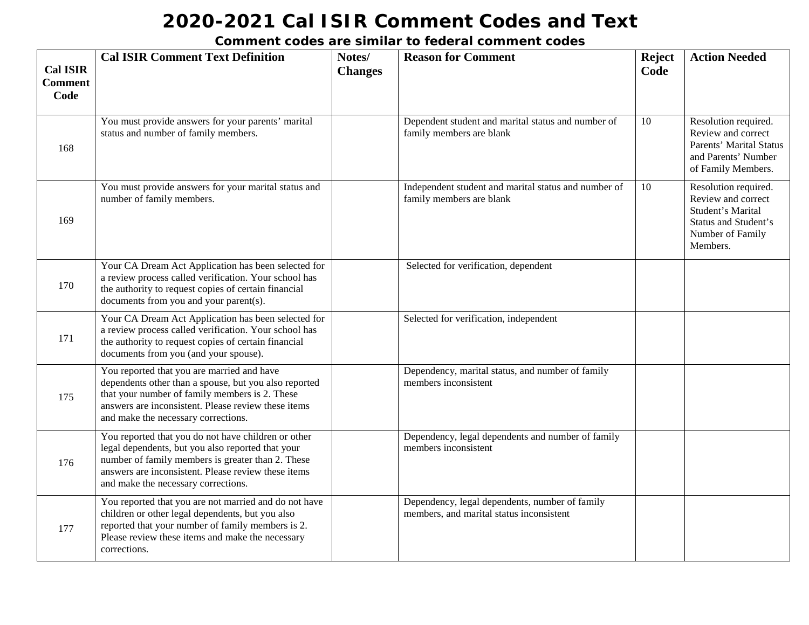| <b>Cal ISIR</b><br><b>Comment</b><br>Code | <b>Cal ISIR Comment Text Definition</b>                                                                                                                                                                                                                     | Notes/<br><b>Changes</b> | <b>Reason for Comment</b>                                                                  | <b>Reject</b><br>Code | <b>Action Needed</b>                                                                                                           |
|-------------------------------------------|-------------------------------------------------------------------------------------------------------------------------------------------------------------------------------------------------------------------------------------------------------------|--------------------------|--------------------------------------------------------------------------------------------|-----------------------|--------------------------------------------------------------------------------------------------------------------------------|
| 168                                       | You must provide answers for your parents' marital<br>status and number of family members.                                                                                                                                                                  |                          | Dependent student and marital status and number of<br>family members are blank             | 10                    | Resolution required.<br>Review and correct<br>Parents' Marital Status<br>and Parents' Number<br>of Family Members.             |
| 169                                       | You must provide answers for your marital status and<br>number of family members.                                                                                                                                                                           |                          | Independent student and marital status and number of<br>family members are blank           | 10                    | Resolution required.<br>Review and correct<br>Student's Marital<br><b>Status and Student's</b><br>Number of Family<br>Members. |
| 170                                       | Your CA Dream Act Application has been selected for<br>a review process called verification. Your school has<br>the authority to request copies of certain financial<br>documents from you and your parent(s).                                              |                          | Selected for verification, dependent                                                       |                       |                                                                                                                                |
| 171                                       | Your CA Dream Act Application has been selected for<br>a review process called verification. Your school has<br>the authority to request copies of certain financial<br>documents from you (and your spouse).                                               |                          | Selected for verification, independent                                                     |                       |                                                                                                                                |
| 175                                       | You reported that you are married and have<br>dependents other than a spouse, but you also reported<br>that your number of family members is 2. These<br>answers are inconsistent. Please review these items<br>and make the necessary corrections.         |                          | Dependency, marital status, and number of family<br>members inconsistent                   |                       |                                                                                                                                |
| 176                                       | You reported that you do not have children or other<br>legal dependents, but you also reported that your<br>number of family members is greater than 2. These<br>answers are inconsistent. Please review these items<br>and make the necessary corrections. |                          | Dependency, legal dependents and number of family<br>members inconsistent                  |                       |                                                                                                                                |
| 177                                       | You reported that you are not married and do not have<br>children or other legal dependents, but you also<br>reported that your number of family members is 2.<br>Please review these items and make the necessary<br>corrections.                          |                          | Dependency, legal dependents, number of family<br>members, and marital status inconsistent |                       |                                                                                                                                |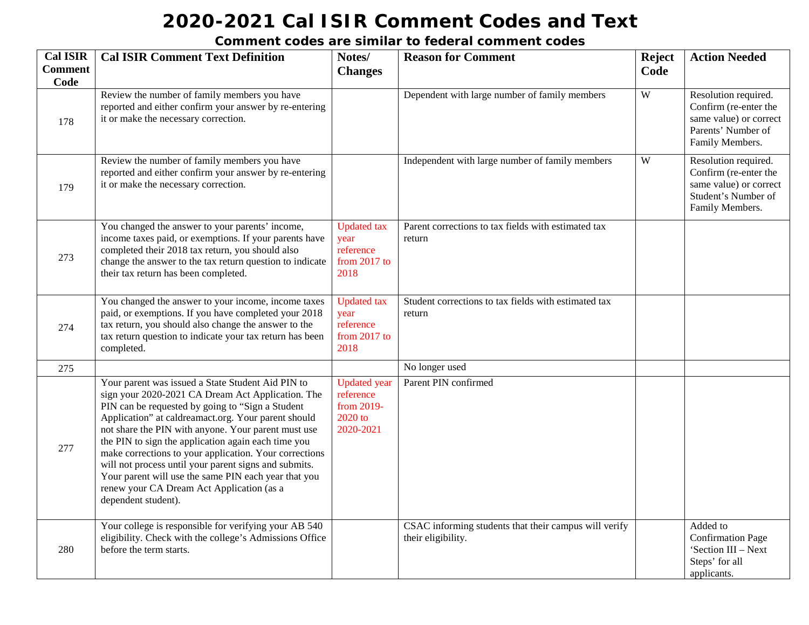| <b>Cal ISIR</b>        | <b>Cal ISIR Comment Text Definition</b>                                                                                                                                                                                                                                                                                                                                                                                                                                                                                                                                        | Notes/                                                                   | <b>Reason for Comment</b>                                                   | Reject | <b>Action Needed</b>                                                                                              |
|------------------------|--------------------------------------------------------------------------------------------------------------------------------------------------------------------------------------------------------------------------------------------------------------------------------------------------------------------------------------------------------------------------------------------------------------------------------------------------------------------------------------------------------------------------------------------------------------------------------|--------------------------------------------------------------------------|-----------------------------------------------------------------------------|--------|-------------------------------------------------------------------------------------------------------------------|
| <b>Comment</b><br>Code |                                                                                                                                                                                                                                                                                                                                                                                                                                                                                                                                                                                | <b>Changes</b>                                                           |                                                                             | Code   |                                                                                                                   |
| 178                    | Review the number of family members you have<br>reported and either confirm your answer by re-entering<br>it or make the necessary correction.                                                                                                                                                                                                                                                                                                                                                                                                                                 |                                                                          | Dependent with large number of family members                               | W      | Resolution required.<br>Confirm (re-enter the<br>same value) or correct<br>Parents' Number of<br>Family Members.  |
| 179                    | Review the number of family members you have<br>reported and either confirm your answer by re-entering<br>it or make the necessary correction.                                                                                                                                                                                                                                                                                                                                                                                                                                 |                                                                          | Independent with large number of family members                             | W      | Resolution required.<br>Confirm (re-enter the<br>same value) or correct<br>Student's Number of<br>Family Members. |
| 273                    | You changed the answer to your parents' income,<br>income taxes paid, or exemptions. If your parents have<br>completed their 2018 tax return, you should also<br>change the answer to the tax return question to indicate<br>their tax return has been completed.                                                                                                                                                                                                                                                                                                              | <b>Updated</b> tax<br>year<br>reference<br>from $2017$ to<br>2018        | Parent corrections to tax fields with estimated tax<br>return               |        |                                                                                                                   |
| 274                    | You changed the answer to your income, income taxes<br>paid, or exemptions. If you have completed your 2018<br>tax return, you should also change the answer to the<br>tax return question to indicate your tax return has been<br>completed.                                                                                                                                                                                                                                                                                                                                  | <b>Updated</b> tax<br>year<br>reference<br>from 2017 to<br>2018          | Student corrections to tax fields with estimated tax<br>return              |        |                                                                                                                   |
| 275                    |                                                                                                                                                                                                                                                                                                                                                                                                                                                                                                                                                                                |                                                                          | No longer used                                                              |        |                                                                                                                   |
| 277                    | Your parent was issued a State Student Aid PIN to<br>sign your 2020-2021 CA Dream Act Application. The<br>PIN can be requested by going to "Sign a Student<br>Application" at caldreamact.org. Your parent should<br>not share the PIN with anyone. Your parent must use<br>the PIN to sign the application again each time you<br>make corrections to your application. Your corrections<br>will not process until your parent signs and submits.<br>Your parent will use the same PIN each year that you<br>renew your CA Dream Act Application (as a<br>dependent student). | <b>Updated</b> year<br>reference<br>from 2019-<br>$2020$ to<br>2020-2021 | Parent PIN confirmed                                                        |        |                                                                                                                   |
| 280                    | Your college is responsible for verifying your AB 540<br>eligibility. Check with the college's Admissions Office<br>before the term starts.                                                                                                                                                                                                                                                                                                                                                                                                                                    |                                                                          | CSAC informing students that their campus will verify<br>their eligibility. |        | Added to<br><b>Confirmation Page</b><br>'Section III - Next<br>Steps' for all<br>applicants.                      |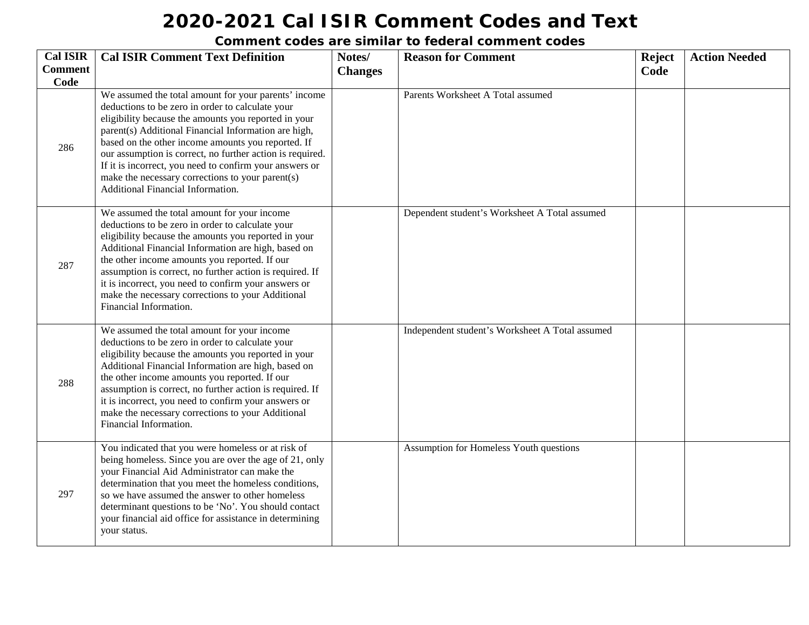| <b>Cal ISIR</b><br><b>Comment</b> | <b>Cal ISIR Comment Text Definition</b>                                                                                                                                                                                                                                                                                                                                                                                                                                                         | Notes/         | <b>Reason for Comment</b>                       | <b>Reject</b> | <b>Action Needed</b> |
|-----------------------------------|-------------------------------------------------------------------------------------------------------------------------------------------------------------------------------------------------------------------------------------------------------------------------------------------------------------------------------------------------------------------------------------------------------------------------------------------------------------------------------------------------|----------------|-------------------------------------------------|---------------|----------------------|
| Code                              |                                                                                                                                                                                                                                                                                                                                                                                                                                                                                                 | <b>Changes</b> |                                                 | Code          |                      |
| 286                               | We assumed the total amount for your parents' income<br>deductions to be zero in order to calculate your<br>eligibility because the amounts you reported in your<br>parent(s) Additional Financial Information are high,<br>based on the other income amounts you reported. If<br>our assumption is correct, no further action is required.<br>If it is incorrect, you need to confirm your answers or<br>make the necessary corrections to your parent(s)<br>Additional Financial Information. |                | Parents Worksheet A Total assumed               |               |                      |
| 287                               | We assumed the total amount for your income<br>deductions to be zero in order to calculate your<br>eligibility because the amounts you reported in your<br>Additional Financial Information are high, based on<br>the other income amounts you reported. If our<br>assumption is correct, no further action is required. If<br>it is incorrect, you need to confirm your answers or<br>make the necessary corrections to your Additional<br>Financial Information.                              |                | Dependent student's Worksheet A Total assumed   |               |                      |
| 288                               | We assumed the total amount for your income<br>deductions to be zero in order to calculate your<br>eligibility because the amounts you reported in your<br>Additional Financial Information are high, based on<br>the other income amounts you reported. If our<br>assumption is correct, no further action is required. If<br>it is incorrect, you need to confirm your answers or<br>make the necessary corrections to your Additional<br>Financial Information.                              |                | Independent student's Worksheet A Total assumed |               |                      |
| 297                               | You indicated that you were homeless or at risk of<br>being homeless. Since you are over the age of 21, only<br>your Financial Aid Administrator can make the<br>determination that you meet the homeless conditions,<br>so we have assumed the answer to other homeless<br>determinant questions to be 'No'. You should contact<br>your financial aid office for assistance in determining<br>your status.                                                                                     |                | Assumption for Homeless Youth questions         |               |                      |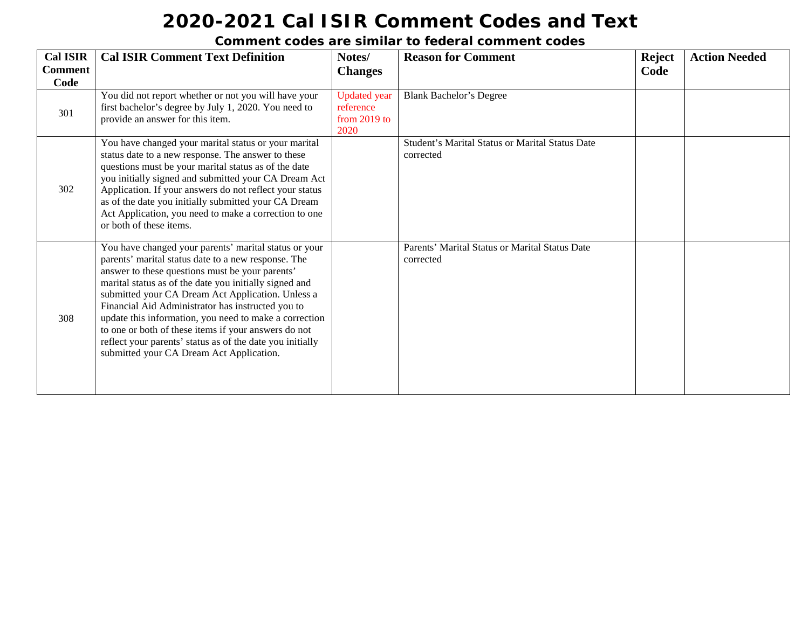| <b>Cal ISIR</b>        | <b>Cal ISIR Comment Text Definition</b>                                                                                                                                                                                                                                                                                                                                                                                                                                                                                                                        | Notes/                                                     | <b>Reason for Comment</b>                                    | <b>Reject</b> | <b>Action Needed</b> |
|------------------------|----------------------------------------------------------------------------------------------------------------------------------------------------------------------------------------------------------------------------------------------------------------------------------------------------------------------------------------------------------------------------------------------------------------------------------------------------------------------------------------------------------------------------------------------------------------|------------------------------------------------------------|--------------------------------------------------------------|---------------|----------------------|
| <b>Comment</b><br>Code |                                                                                                                                                                                                                                                                                                                                                                                                                                                                                                                                                                | <b>Changes</b>                                             |                                                              | Code          |                      |
| 301                    | You did not report whether or not you will have your<br>first bachelor's degree by July 1, 2020. You need to<br>provide an answer for this item.                                                                                                                                                                                                                                                                                                                                                                                                               | <b>Updated</b> year<br>reference<br>from $2019$ to<br>2020 | <b>Blank Bachelor's Degree</b>                               |               |                      |
| 302                    | You have changed your marital status or your marital<br>status date to a new response. The answer to these<br>questions must be your marital status as of the date<br>you initially signed and submitted your CA Dream Act<br>Application. If your answers do not reflect your status<br>as of the date you initially submitted your CA Dream<br>Act Application, you need to make a correction to one<br>or both of these items.                                                                                                                              |                                                            | Student's Marital Status or Marital Status Date<br>corrected |               |                      |
| 308                    | You have changed your parents' marital status or your<br>parents' marital status date to a new response. The<br>answer to these questions must be your parents'<br>marital status as of the date you initially signed and<br>submitted your CA Dream Act Application. Unless a<br>Financial Aid Administrator has instructed you to<br>update this information, you need to make a correction<br>to one or both of these items if your answers do not<br>reflect your parents' status as of the date you initially<br>submitted your CA Dream Act Application. |                                                            | Parents' Marital Status or Marital Status Date<br>corrected  |               |                      |